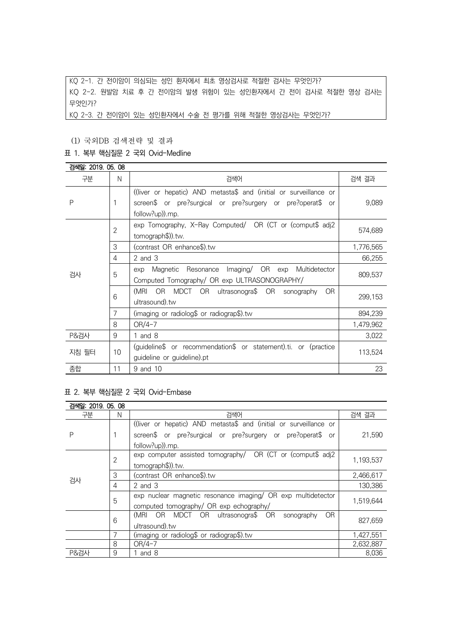KQ 2-1. 간 전이암이 의심되는 성인 환자에서 최초 영상검사로 적절한 검사는 무엇인가? KQ 2-2. 원발암 치료 후 간 전이암의 발생 위험이 있는 성인환자에서 간 전이 검사로 적절한 영상 검사는 무엇인가?

KQ 2-3. 간 전이암이 있는 성인환자에서 수술 전 평가를 위해 적절한 영상검사는 무엇인가?

(1) 국외DB 검색전략 및 결과

### 표 1. 복부 핵심질문 2 국외 Ovid-Medline

| 검색일: 2019, 05, 08 |                |                                                                   |           |  |
|-------------------|----------------|-------------------------------------------------------------------|-----------|--|
| 구분                | N              | 검색어                                                               | 검색 결과     |  |
| P                 |                | ((liver or hepatic) AND metasta\$ and (initial or surveillance or | 9,089     |  |
|                   |                | screen\$ or pre?surgical or pre?surgery or pre?operat\$ or        |           |  |
|                   |                | follow?up)).mp.                                                   |           |  |
|                   | $\overline{2}$ | exp Tomography, X-Ray Computed/ OR (CT or (comput\$ adj2          | 574,689   |  |
|                   |                | tomograph\$)).tw.                                                 |           |  |
|                   | 3              | (contrast OR enhance\$).tw                                        | 1,776,565 |  |
|                   | 4              | $2$ and $3$                                                       | 66,255    |  |
|                   | 5              | Imaging/ OR exp<br>Multidetector<br>Magnetic Resonance<br>exp     | 809,537   |  |
| 검사                |                | Computed Tomography/ OR exp ULTRASONOGRAPHY/                      |           |  |
|                   | 6              | (MRI<br>OR MDCT OR ultrasonogra\$ OR<br>OR.<br>sonography         | 299,153   |  |
|                   |                | ultrasound).tw                                                    |           |  |
|                   | 7              | (imaging or radiolog\$ or radiograp\$).tw                         | 894,239   |  |
|                   | 8              | $OR/4-7$                                                          | 1,479,962 |  |
| <b>P&amp;검사</b>   | 9              | 1 and $8$                                                         | 3,022     |  |
| 지침 필터             | 10             | (guideline\$ or recommendation\$ or statement).ti. or (practice   | 113,524   |  |
|                   |                | guideline or guideline).pt                                        |           |  |
| 종합                | 11             | 9 and 10                                                          | 23        |  |

#### 표 2. 복부 핵심질문 2 국외 Ovid-Embase

| 검색일: 2019, 05, 08 |                |                                                                   |           |
|-------------------|----------------|-------------------------------------------------------------------|-----------|
| 구분                | N              | 검색어                                                               | 검색 결과     |
|                   |                | ((liver or hepatic) AND metasta\$ and (initial or surveillance or |           |
| Ρ                 |                | screen\$ or pre?surgical or pre?surgery or pre?operat\$ or        | 21,590    |
|                   |                | follow?up)).mp.                                                   |           |
| 검사                | $\overline{2}$ | exp computer assisted tomography/ OR (CT or (comput\$ adj2        | 1,193,537 |
|                   |                | tomograph\$)).tw.                                                 |           |
|                   | 3              | (contrast OR enhance\$).tw                                        | 2,466,617 |
|                   | 4              | $2$ and $3$                                                       | 130,386   |
|                   | 5              | exp nuclear magnetic resonance imaging/ OR exp multidetector      | 1,519,644 |
|                   |                | computed tomography/ OR exp echography/                           |           |
|                   | 6              | (MRI OR MDCT OR ultrasonogra\$ OR<br>OR.<br>sonography            | 827.659   |
|                   |                | ultrasound).tw                                                    |           |
|                   | 7              | (imaging or radiolog $\circ$ radiograp $\circ$ ). tw              | 1.427.551 |
|                   | 8              | $OR/4-7$                                                          | 2,632,887 |
| P&검사              | 9              | 1 and $8$                                                         | 8,036     |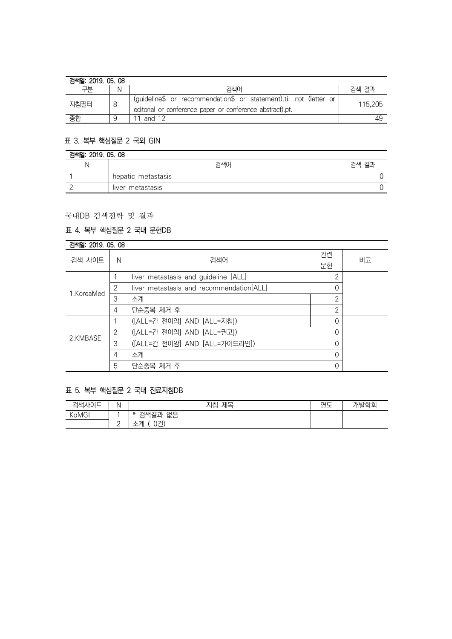| 검색일: 2019, 05, 08 |   |                                                                                                                                |         |
|-------------------|---|--------------------------------------------------------------------------------------------------------------------------------|---------|
| 구부                | N | 검색어                                                                                                                            | 검색 결과   |
| 지침필터              |   | (guideline\$ or recommendation\$ or statement).ti. not (letter or<br>editorial or conference paper or conference abstract).pt. | 115.205 |
| 종합                |   | and 12                                                                                                                         | 49      |

# 표 3. 복부 핵심질문 2 국외 GIN

| 검색일: 2019.05.08 |                    |       |  |
|-----------------|--------------------|-------|--|
|                 | 검색어                | 검색 결과 |  |
|                 | hepatic metastasis |       |  |
|                 | liver metastasis   |       |  |

## 국내DB 검색전략 및 결과

# 표 4. 복부 핵심질문 2 국내 문헌DB

| 검색일: 2019, 05, 08 |                |                                          |                |    |
|-------------------|----------------|------------------------------------------|----------------|----|
| 검색 사이트 ·          | N              | 검색어                                      | 관련<br>문헌       | 비고 |
| 1.KoreaMed        |                | liver metastasis and guideline [ALL]     | 2              |    |
|                   | 2              | liver metastasis and recommendation[ALL] | 0              |    |
|                   | 3              | 소계                                       | 2              |    |
|                   | 4              | 단순중복 제거 후                                | $\overline{2}$ |    |
| 2.KMBASE          |                | ([ALL=간 전이암] AND [ALL=지침])               | $\Omega$       |    |
|                   | $\overline{2}$ | ([ALL=간 전이암] AND [ALL=권고])               | $\Omega$       |    |
|                   | 3              | ([ALL=간 전이암] AND [ALL=가이드라인])            | 0              |    |
|                   | 4              | 소계                                       | $\Omega$       |    |
|                   | 5              | 단순중복 제거 후                                |                |    |

# 표 5. 복부 핵심질문 2 국내 진료지침DB

| 검색사이트 | ΙN | 지침<br>제목                                    | $Q = \Box$<br>- | 기버나가는 |
|-------|----|---------------------------------------------|-----------------|-------|
| KoMGI |    | O<br>ш<br>∗<br>臥古<br>--                     |                 |       |
|       |    | $\cap$ $\neg$<br><b>THE</b><br>J1<br>2.N /4 |                 |       |